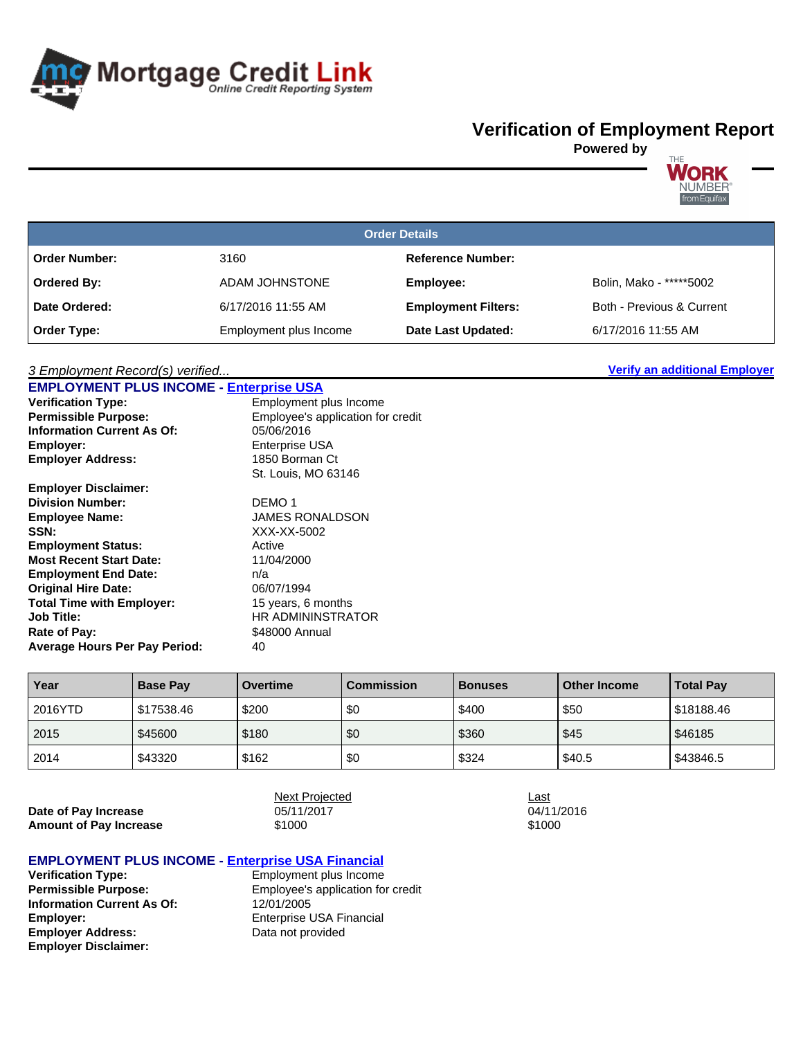

## **Verification of Employment Report**

**Powered by**



| <b>Order Details</b> |                        |                            |                           |  |  |  |
|----------------------|------------------------|----------------------------|---------------------------|--|--|--|
| <b>Order Number:</b> | 3160                   | <b>Reference Number:</b>   |                           |  |  |  |
| <b>Ordered By:</b>   | ADAM JOHNSTONE         | Employee:                  | Bolin, Mako - *****5002   |  |  |  |
| Date Ordered:        | 6/17/2016 11:55 AM     | <b>Employment Filters:</b> | Both - Previous & Current |  |  |  |
| Order Type:          | Employment plus Income | Date Last Updated:         | 6/17/2016 11:55 AM        |  |  |  |

## 3 Employment Record(s) verified... **Verify an additional Employer**

| <b>EMPLOYMENT PLUS INCOME - Enterprise USA</b> |                                   |
|------------------------------------------------|-----------------------------------|
| <b>Verification Type:</b>                      | Employment plus Income            |
| <b>Permissible Purpose:</b>                    | Employee's application for credit |
| <b>Information Current As Of:</b>              | 05/06/2016                        |
| Employer:                                      | Enterprise USA                    |
| <b>Employer Address:</b>                       | 1850 Borman Ct                    |
|                                                | St. Louis, MO 63146               |
| <b>Employer Disclaimer:</b>                    |                                   |
| <b>Division Number:</b>                        | DEMO 1                            |
| <b>Employee Name:</b>                          | <b>JAMES RONALDSON</b>            |
| <b>SSN:</b>                                    | XXX-XX-5002                       |
| <b>Employment Status:</b>                      | Active                            |
| <b>Most Recent Start Date:</b>                 | 11/04/2000                        |
| <b>Employment End Date:</b>                    | n/a                               |
| <b>Original Hire Date:</b>                     | 06/07/1994                        |
| <b>Total Time with Employer:</b>               | 15 years, 6 months                |
| <b>Job Title:</b>                              | HR ADMININSTRATOR                 |
| Rate of Pay:                                   | \$48000 Annual                    |
| <b>Average Hours Per Pay Period:</b>           | 40                                |

| Year    | <b>Base Pay</b> | <b>Overtime</b> | Commission | <b>Bonuses</b> | <b>Other Income</b> | <b>Total Pay</b> |
|---------|-----------------|-----------------|------------|----------------|---------------------|------------------|
| 2016YTD | \$17538.46      | \$200           | \$0        | \$400          | \$50                | \$18188.46       |
| 2015    | \$45600         | \$180           | \$0        | \$360          | \$45                | \$46185          |
| 2014    | \$43320         | \$162           | \$0        | \$324          | \$40.5              | \$43846.5        |

**Date of Pay Increase Amount of Pay Increase**  $\qquad \qquad \text{\$1000}$   $\qquad \qquad \text{\$1000}$ 

Next Projected Last

## **EMPLOYMENT PLUS INCOME - Enterprise USA Financial**

**Verification Type:** Employment plus Income<br> **Permissible Purpose:** Employee's application fo **Information Current As Of:** 12/01/2005<br> **Employer:** Enterprise U **Employer Address:** Data not provided **Employer Disclaimer:**

**Permissible Purpose:** Employee's application for credit **Enterprise USA Financial**